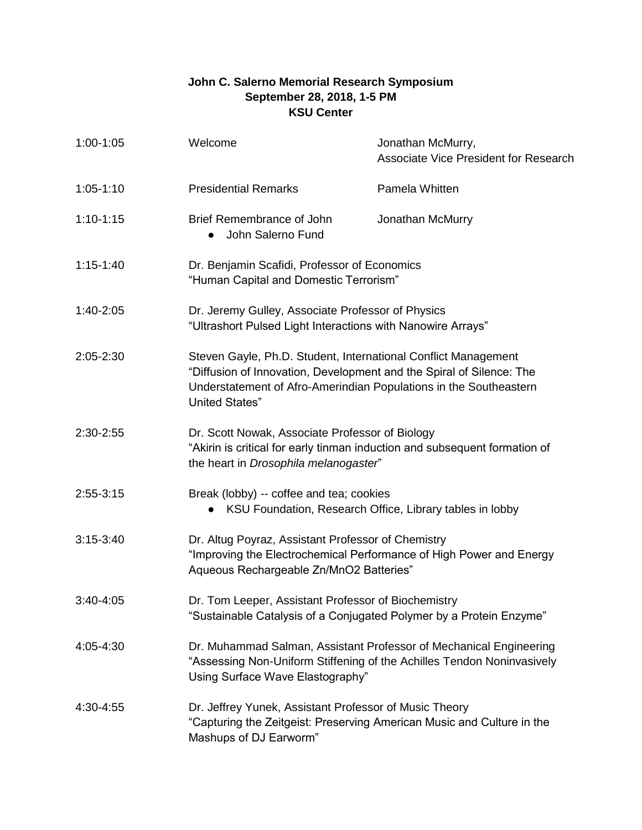## **John C. Salerno Memorial Research Symposium September 28, 2018, 1-5 PM KSU Center**

| $1:00-1:05$   | Welcome                                                                                                                                                                                                                              | Jonathan McMurry,<br><b>Associate Vice President for Research</b> |
|---------------|--------------------------------------------------------------------------------------------------------------------------------------------------------------------------------------------------------------------------------------|-------------------------------------------------------------------|
| $1:05-1:10$   | <b>Presidential Remarks</b>                                                                                                                                                                                                          | Pamela Whitten                                                    |
| $1:10-1:15$   | Brief Remembrance of John<br>John Salerno Fund<br>$\bullet$                                                                                                                                                                          | Jonathan McMurry                                                  |
| $1:15-1:40$   | Dr. Benjamin Scafidi, Professor of Economics<br>"Human Capital and Domestic Terrorism"                                                                                                                                               |                                                                   |
| 1:40-2:05     | Dr. Jeremy Gulley, Associate Professor of Physics<br>"Ultrashort Pulsed Light Interactions with Nanowire Arrays"                                                                                                                     |                                                                   |
| 2:05-2:30     | Steven Gayle, Ph.D. Student, International Conflict Management<br>"Diffusion of Innovation, Development and the Spiral of Silence: The<br>Understatement of Afro-Amerindian Populations in the Southeastern<br><b>United States"</b> |                                                                   |
| 2:30-2:55     | Dr. Scott Nowak, Associate Professor of Biology<br>"Akirin is critical for early tinman induction and subsequent formation of<br>the heart in Drosophila melanogaster"                                                               |                                                                   |
| $2:55-3:15$   | Break (lobby) -- coffee and tea; cookies<br>KSU Foundation, Research Office, Library tables in lobby<br>$\bullet$                                                                                                                    |                                                                   |
| $3:15-3:40$   | Dr. Altug Poyraz, Assistant Professor of Chemistry<br>"Improving the Electrochemical Performance of High Power and Energy<br>Aqueous Rechargeable Zn/MnO2 Batteries"                                                                 |                                                                   |
| $3:40 - 4:05$ | Dr. Tom Leeper, Assistant Professor of Biochemistry<br>"Sustainable Catalysis of a Conjugated Polymer by a Protein Enzyme"                                                                                                           |                                                                   |
| 4:05-4:30     | Dr. Muhammad Salman, Assistant Professor of Mechanical Engineering<br>"Assessing Non-Uniform Stiffening of the Achilles Tendon Noninvasively<br>Using Surface Wave Elastography"                                                     |                                                                   |
| 4:30-4:55     | Dr. Jeffrey Yunek, Assistant Professor of Music Theory<br>"Capturing the Zeitgeist: Preserving American Music and Culture in the<br>Mashups of DJ Earworm"                                                                           |                                                                   |